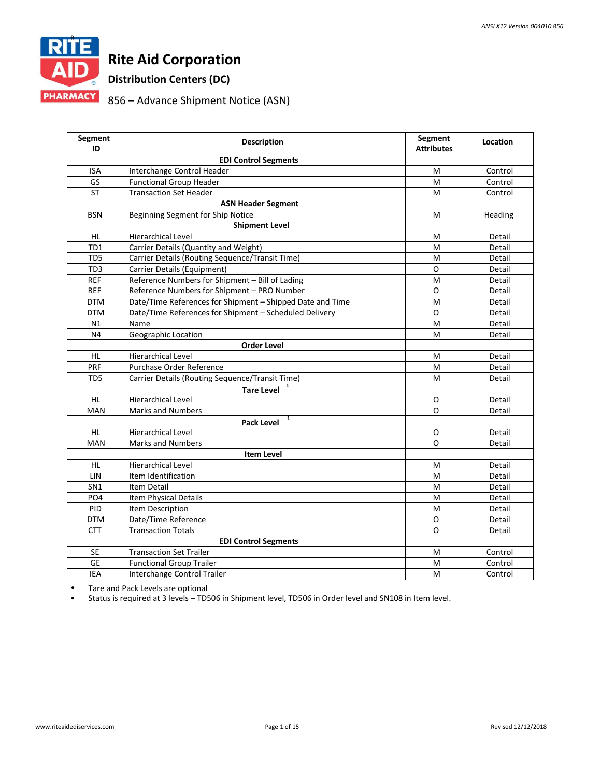

# **Rite Aid Corporation**

**Distribution Centers (DC)**

# 856 – Advance Shipment Notice (ASN)

| Segment<br>ID   | <b>Description</b>                                        | <b>Segment</b><br><b>Attributes</b> | Location |
|-----------------|-----------------------------------------------------------|-------------------------------------|----------|
|                 | <b>EDI Control Segments</b>                               |                                     |          |
| <b>ISA</b>      | Interchange Control Header                                | M                                   | Control  |
| GS              | <b>Functional Group Header</b>                            | M                                   | Control  |
| <b>ST</b>       | <b>Transaction Set Header</b>                             | M                                   | Control  |
|                 | <b>ASN Header Segment</b>                                 |                                     |          |
| <b>BSN</b>      | Beginning Segment for Ship Notice                         | M                                   | Heading  |
|                 | <b>Shipment Level</b>                                     |                                     |          |
| <b>HL</b>       | Hierarchical Level                                        | M                                   | Detail   |
| TD1             | Carrier Details (Quantity and Weight)                     | M                                   | Detail   |
| TD <sub>5</sub> | Carrier Details (Routing Sequence/Transit Time)           | M                                   | Detail   |
| TD3             | Carrier Details (Equipment)                               | O                                   | Detail   |
| <b>REF</b>      | Reference Numbers for Shipment - Bill of Lading           | $\overline{\mathsf{M}}$             | Detail   |
| <b>REF</b>      | Reference Numbers for Shipment - PRO Number               | O                                   | Detail   |
| <b>DTM</b>      | Date/Time References for Shipment - Shipped Date and Time | M                                   | Detail   |
| <b>DTM</b>      | Date/Time References for Shipment - Scheduled Delivery    | O                                   | Detail   |
| N1              | Name                                                      | M                                   | Detail   |
| N4              | Geographic Location                                       | M                                   | Detail   |
|                 | <b>Order Level</b>                                        |                                     |          |
| <b>HL</b>       | <b>Hierarchical Level</b>                                 | м                                   | Detail   |
| <b>PRF</b>      | Purchase Order Reference                                  | М                                   | Detail   |
| TD <sub>5</sub> | Carrier Details (Routing Sequence/Transit Time)           | M                                   | Detail   |
|                 | 1<br><b>Tare Level</b>                                    |                                     |          |
| <b>HL</b>       | <b>Hierarchical Level</b>                                 | O                                   | Detail   |
| <b>MAN</b>      | <b>Marks and Numbers</b>                                  | $\Omega$                            | Detail   |
|                 | 1<br><b>Pack Level</b>                                    |                                     |          |
| <b>HL</b>       | <b>Hierarchical Level</b>                                 | O                                   | Detail   |
| MAN             | <b>Marks and Numbers</b>                                  | $\Omega$                            | Detail   |
|                 | <b>Item Level</b>                                         |                                     |          |
| <b>HL</b>       | Hierarchical Level                                        | M                                   | Detail   |
| LIN             | Item Identification                                       | M                                   | Detail   |
| SN <sub>1</sub> | <b>Item Detail</b>                                        | M                                   | Detail   |
| PO <sub>4</sub> | Item Physical Details                                     | M                                   | Detail   |
| PID             | Item Description                                          | M                                   | Detail   |
| <b>DTM</b>      | Date/Time Reference                                       | $\circ$                             | Detail   |
| <b>CTT</b>      | <b>Transaction Totals</b>                                 | O                                   | Detail   |
|                 | <b>EDI Control Segments</b>                               |                                     |          |
| <b>SE</b>       | <b>Transaction Set Trailer</b>                            | Μ                                   | Control  |
| <b>GE</b>       | <b>Functional Group Trailer</b>                           | M                                   | Control  |
| <b>IEA</b>      | Interchange Control Trailer                               | M                                   | Control  |

• Tare and Pack Levels are optional

• Status is required at 3 levels – TD506 in Shipment level, TD506 in Order level and SN108 in Item level.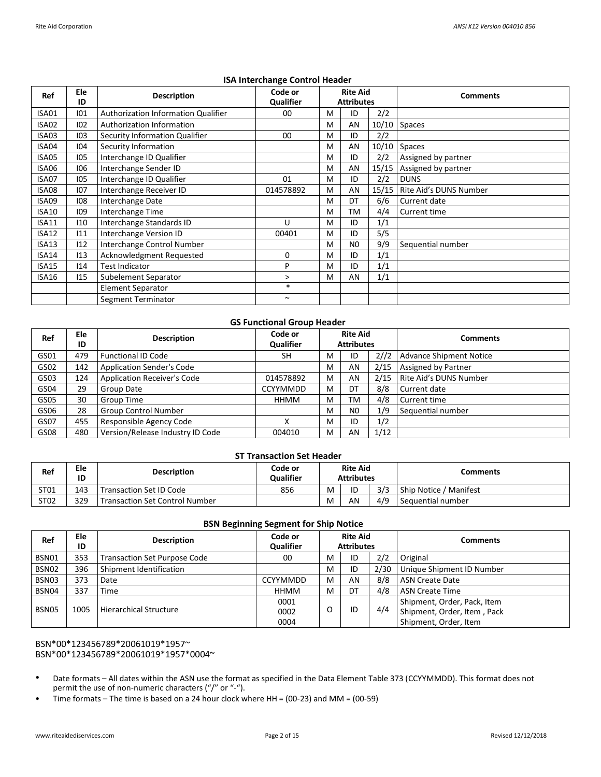| Ref          | Ele<br>ID | <b>Description</b>                  | Code or<br>Qualifier |   | <b>Rite Aid</b><br><b>Attributes</b> |     | <b>Comments</b>                |
|--------------|-----------|-------------------------------------|----------------------|---|--------------------------------------|-----|--------------------------------|
| ISA01        | 101       | Authorization Information Qualifier | 00                   | M | ID                                   | 2/2 |                                |
| ISA02        | 102       | Authorization Information           |                      | M | AN                                   |     | 10/10 Spaces                   |
| ISA03        | 103       | Security Information Qualifier      | 00                   | M | ID                                   | 2/2 |                                |
| ISA04        | 104       | Security Information                |                      | M | AN                                   |     | $10/10$ Spaces                 |
| ISA05        | 105       | Interchange ID Qualifier            |                      | M | ID                                   | 2/2 | Assigned by partner            |
| ISA06        | 106       | Interchange Sender ID               |                      | M | AN                                   |     | 15/15 Assigned by partner      |
| ISA07        | 105       | Interchange ID Qualifier            | 01                   | M | ID                                   | 2/2 | <b>DUNS</b>                    |
| ISA08        | 107       | Interchange Receiver ID             | 014578892            | M | AN                                   |     | 15/15   Rite Aid's DUNS Number |
| ISA09        | 108       | Interchange Date                    |                      | M | DT                                   | 6/6 | Current date                   |
| <b>ISA10</b> | 109       | Interchange Time                    |                      | M | ТM                                   | 4/4 | Current time                   |
| <b>ISA11</b> | 110       | Interchange Standards ID            | U                    | M | ID                                   | 1/1 |                                |
| <b>ISA12</b> | 111       | Interchange Version ID              | 00401                | M | ID                                   | 5/5 |                                |
| <b>ISA13</b> | 112       | Interchange Control Number          |                      | M | N <sub>0</sub>                       | 9/9 | Sequential number              |
| <b>ISA14</b> | 113       | Acknowledgment Requested            | 0                    | M | ID                                   | 1/1 |                                |
| <b>ISA15</b> | 114       | <b>Test Indicator</b>               | P                    | M | ID                                   | 1/1 |                                |
| ISA16        | 115       | Subelement Separator                | $\geq$               | M | AN                                   | 1/1 |                                |
|              |           | <b>Element Separator</b>            | $*$                  |   |                                      |     |                                |
|              |           | Segment Terminator                  | $\sim$               |   |                                      |     |                                |

# **ISA Interchange Control Header**

# **GS Functional Group Header**

| Ref  | Ele<br>ID | <b>Description</b>                 | Code or<br>Qualifier |   | <b>Rite Aid</b><br><b>Attributes</b> |      | Comments                |
|------|-----------|------------------------------------|----------------------|---|--------------------------------------|------|-------------------------|
| GS01 | 479       | <b>Functional ID Code</b>          | <b>SH</b>            | м | ID                                   | 2//2 | Advance Shipment Notice |
| GS02 | 142       | <b>Application Sender's Code</b>   |                      | M | AN                                   | 2/15 | Assigned by Partner     |
| GS03 | 124       | <b>Application Receiver's Code</b> | 014578892            | M | AN                                   | 2/15 | Rite Aid's DUNS Number  |
| GS04 | 29        | Group Date                         | <b>CCYYMMDD</b>      | M | DT                                   | 8/8  | Current date            |
| GS05 | 30        | Group Time                         | HHMM                 | M | ТM                                   | 4/8  | Current time            |
| GS06 | 28        | <b>Group Control Number</b>        |                      | M | N <sub>0</sub>                       | 1/9  | Sequential number       |
| GS07 | 455       | Responsible Agency Code            |                      | M | ID                                   | 1/2  |                         |
| GS08 | 480       | Version/Release Industry ID Code   | 004010               | M | AN                                   | 1/12 |                         |

## **ST Transaction Set Header**

| Ref  | Ele<br>ID | <b>Description</b>                    | Code or<br><b>Qualifier</b> | <b>Rite Aid</b><br><b>Attributes</b> |    |     | Comments               |
|------|-----------|---------------------------------------|-----------------------------|--------------------------------------|----|-----|------------------------|
| ST01 | 143       | Transaction Set ID Code               | 856                         | M                                    | ID | 3/3 | Ship Notice / Manifest |
| ST02 | 329       | <b>Transaction Set Control Number</b> |                             | м                                    | AN | 4/9 | Sequential number      |

# **BSN Beginning Segment for Ship Notice**

| Ref   | Ele<br>ID | <b>Description</b>                  | Code or<br><b>Qualifier</b> |   | <b>Rite Aid</b><br><b>Attributes</b> |      | <b>Comments</b>                                                                     |
|-------|-----------|-------------------------------------|-----------------------------|---|--------------------------------------|------|-------------------------------------------------------------------------------------|
| BSN01 | 353       | <b>Transaction Set Purpose Code</b> | 00                          | м | ID                                   | 2/2  | Original                                                                            |
| BSN02 | 396       | Shipment Identification             |                             | M | ID                                   | 2/30 | Unique Shipment ID Number                                                           |
| BSN03 | 373       | Date                                | <b>CCYYMMDD</b>             | M | AN                                   | 8/8  | <b>ASN Create Date</b>                                                              |
| BSN04 | 337       | Time                                | HHMM                        | M | DT                                   | 4/8  | <b>ASN Create Time</b>                                                              |
| BSN05 | 1005      | <b>Hierarchical Structure</b>       | 0001<br>0002<br>0004        |   | ID                                   | 4/4  | Shipment, Order, Pack, Item<br>Shipment, Order, Item, Pack<br>Shipment, Order, Item |

## BSN\*00\*123456789\*20061019\*1957~ BSN\*00\*123456789\*20061019\*1957\*0004~

- Date formats – All dates within the ASN use the format as specified in the Data Element Table 373 (CCYYMMDD). This format does not permit the use of non-numeric characters ("/" or "-").
- Time formats – The time is based on a 24 hour clock where HH = (00-23) and MM = (00-59)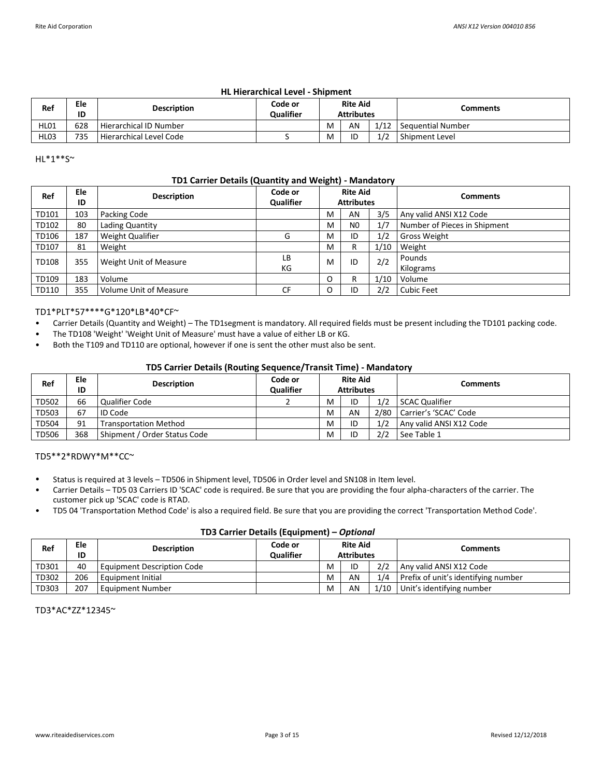# **HL Hierarchical Level - Shipment**

| Ref         | Ele<br>ID | <b>Description</b>        | Code or<br><b>Qualifier</b> | <b>Rite Aid</b><br><b>Attributes</b> |    |      | Comments            |
|-------------|-----------|---------------------------|-----------------------------|--------------------------------------|----|------|---------------------|
| <b>HL01</b> | 628       | l Hierarchical ID Number  |                             | M                                    | AN | 1/12 | l Seauential Number |
| <b>HL03</b> | 735       | l Hierarchical Level Code |                             | M                                    | ID | 1/2  | Shipment Level      |

HL\*1\*\*S~

# **TD1 Carrier Details (Quantity and Weight) - Mandatory**

| Ref   | Ele<br>ID | <b>Description</b>            | Code or<br>Qualifier |   | <b>Rite Aid</b><br><b>Attributes</b> |      | <b>Comments</b>              |
|-------|-----------|-------------------------------|----------------------|---|--------------------------------------|------|------------------------------|
| TD101 | 103       | Packing Code                  |                      | M | AN                                   | 3/5  | Any valid ANSI X12 Code      |
| TD102 | 80        | Lading Quantity               |                      | м | N <sub>0</sub>                       | 1/7  | Number of Pieces in Shipment |
| TD106 | 187       | <b>Weight Qualifier</b>       | G                    | M | ID                                   | 1/2  | <b>Gross Weight</b>          |
| TD107 | 81        | Weight                        |                      | M | R                                    | 1/10 | Weight                       |
| TD108 | 355       | Weight Unit of Measure        | LВ<br>КG             | M | ID                                   | 2/2  | Pounds<br>Kilograms          |
| TD109 | 183       | Volume                        |                      | O | R                                    | 1/10 | Volume                       |
| TD110 | 355       | <b>Volume Unit of Measure</b> | CF                   | O | ID                                   | 2/2  | <b>Cubic Feet</b>            |

## TD1\*PLT\*57\*\*\*\*G\*120\*LB\*40\*CF~

- Carrier Details (Quantity and Weight) – The TD1segment is mandatory. All required fields must be present including the TD101 packing code.
- The TD108 'Weight' 'Weight Unit of Measure' must have a value of either LB or KG.
- Both the T109 and TD110 are optional, however if one is sent the other must also be sent.

# **TD5 Carrier Details (Routing Sequence/Transit Time) - Mandatory**

| Ref   | Ele<br>ID | <b>Description</b>           | Code or<br><b>Qualifier</b> | <b>Rite Aid</b><br><b>Attributes</b> |    |     | Comments                   |
|-------|-----------|------------------------------|-----------------------------|--------------------------------------|----|-----|----------------------------|
| TD502 | 66        | Qualifier Code               |                             | M                                    | ID | 1/2 | SCAC Qualifier             |
| TD503 | 67        | LID Code                     |                             | M                                    | AN |     | 2/80 Carrier's 'SCAC' Code |
| TD504 | 91        | <b>Transportation Method</b> |                             | M                                    | ID | 1/2 | LAny valid ANSI X12 Code   |
| TD506 | 368       | Shipment / Order Status Code |                             | M                                    | ID | 2/2 | See Table 1                |

TD5\*\*2\*RDWY\*M\*\*CC~

- Status is required at 3 levels – TD506 in Shipment level, TD506 in Order level and SN108 in Item level.
- Carrier Details – TD5 03 Carriers ID 'SCAC' code is required. Be sure that you are providing the four alpha-characters of the carrier. The customer pick up 'SCAC' code is RTAD.
- TD5 04 'Transportation Method Code' is also a required field. Be sure that you are providing the correct 'Transportation Method Code'.

## **TD3 Carrier Details (Equipment) –** *Optional*

| Ref   | Ele<br>ID | <b>Description</b>         | Code or<br><b>Qualifier</b> |   | <b>Rite Aid</b><br><b>Attributes</b> |      | <b>Comments</b>                     |  |  |  |  |
|-------|-----------|----------------------------|-----------------------------|---|--------------------------------------|------|-------------------------------------|--|--|--|--|
| TD301 | 40        | Equipment Description Code |                             | м | ID                                   | 2/2  | Any valid ANSI X12 Code             |  |  |  |  |
| TD302 | 206       | Equipment Initial          |                             | M | AN                                   | 1/4  | Prefix of unit's identifying number |  |  |  |  |
| TD303 | 207       | <b>Equipment Number</b>    |                             | M | AN                                   | 1/10 | Unit's identifying number           |  |  |  |  |

TD3\*AC\*ZZ\*12345~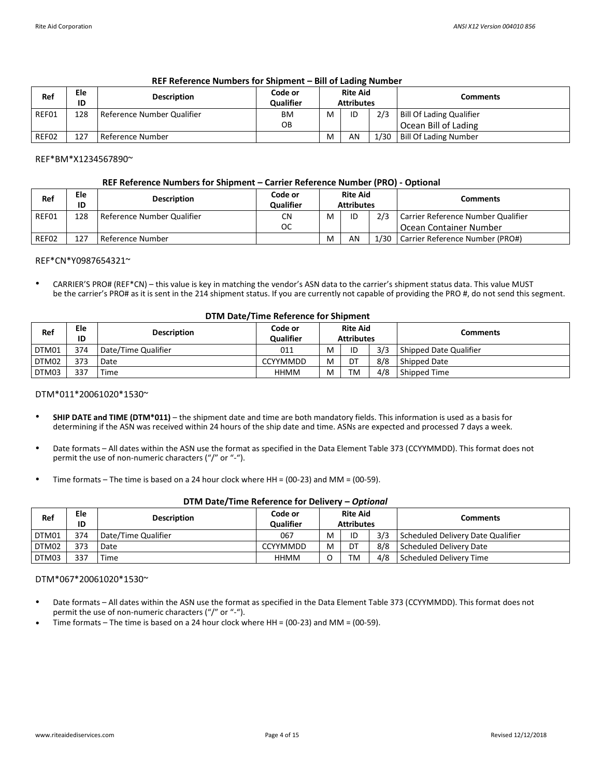| Ref   | Ele<br>ID | <b>Description</b>         | Code or<br><b>Qualifier</b> |   | <b>Rite Aid</b><br><b>Attributes</b> |      | Comments                        |
|-------|-----------|----------------------------|-----------------------------|---|--------------------------------------|------|---------------------------------|
| REF01 | 128       | Reference Number Qualifier | ВM                          | M | ID                                   | 2/3  | <b>Bill Of Lading Qualifier</b> |
|       |           |                            | OВ                          |   |                                      |      | Ocean Bill of Lading            |
| REF02 | 127       | Reference Number           |                             | M | AN                                   | 1/30 | <b>Bill Of Lading Number</b>    |

# **REF Reference Numbers for Shipment – Bill of Lading Number**

REF\*BM\*X1234567890~

#### **REF Reference Numbers for Shipment – Carrier Reference Number (PRO) - Optional**

| Ref   | Ele<br>ID | <b>Description</b>         | Code or<br><b>Qualifier</b> |   | <b>Rite Aid</b><br><b>Attributes</b> |      | Comments                           |
|-------|-----------|----------------------------|-----------------------------|---|--------------------------------------|------|------------------------------------|
| REF01 | 128       | Reference Number Qualifier | CN                          | M | ID                                   | 2/3  | Carrier Reference Number Qualifier |
|       |           |                            | ОC                          |   |                                      |      | l Ocean Container Number           |
| REF02 | 127       | Reference Number           |                             | м | AN                                   | 1/30 | Carrier Reference Number (PRO#)    |

#### REF\*CN\*Y0987654321~

• CARRIER'S PRO# (REF\*CN) – this value is key in matching the vendor's ASN data to the carrier's shipment status data. This value MUST be the carrier's PRO# as it is sent in the 214 shipment status. If you are currently not capable of providing the PRO #, do not send this segment.

#### **DTM Date/Time Reference for Shipment**

| Ref   | Ele<br>ID | <b>Description</b>  | Code or<br><b>Qualifier</b> |   | <b>Rite Aid</b><br><b>Attributes</b> |     | Comments               |  |  |  |
|-------|-----------|---------------------|-----------------------------|---|--------------------------------------|-----|------------------------|--|--|--|
| DTM01 | 374       | Date/Time Qualifier | 011                         | M | ID                                   | 3/3 | Shipped Date Qualifier |  |  |  |
| DTM02 | 373       | Date                | <b>CCYYMMDD</b>             | M | דם                                   | 8/8 | Shipped Date           |  |  |  |
| DTM03 | 337       | ' Time              | HHMM                        | M | TM                                   | 4/8 | Shipped Time           |  |  |  |

#### DTM\*011\*20061020\*1530~

- **SHIP DATE and TIME (DTM\*011)** – the shipment date and time are both mandatory fields. This information is used as a basis for determining if the ASN was received within 24 hours of the ship date and time. ASNs are expected and processed 7 days a week.
- Date formats – All dates within the ASN use the format as specified in the Data Element Table 373 (CCYYMMDD). This format does not permit the use of non-numeric characters ("/" or "-").
- Time formats – The time is based on a 24 hour clock where HH = (00-23) and MM = (00-59).

|       | <b>PHYLOGIC, HING INCIDIBING TOI DOING Y</b><br>— |                     |                             |   |                                      |     |                                   |  |  |  |  |
|-------|---------------------------------------------------|---------------------|-----------------------------|---|--------------------------------------|-----|-----------------------------------|--|--|--|--|
| Ref   | Ele<br>ID                                         | <b>Description</b>  | Code or<br><b>Qualifier</b> |   | <b>Rite Aid</b><br><b>Attributes</b> |     | Comments                          |  |  |  |  |
| DTM01 | 374                                               | Date/Time Qualifier | 067                         | M | ID                                   | 3/3 | Scheduled Delivery Date Qualifier |  |  |  |  |
| DTM02 | 373                                               | Date                | <b>CCYYMMDD</b>             | M | DT                                   | 8/8 | Scheduled Delivery Date           |  |  |  |  |
| DTM03 | 337                                               | Time                | <b>HHMM</b>                 |   | TM                                   | 4/8 | Scheduled Delivery Time           |  |  |  |  |

# **DTM Date/Time Reference for Delivery –** *Optional*

#### DTM\*067\*20061020\*1530~

- Date formats – All dates within the ASN use the format as specified in the Data Element Table 373 (CCYYMMDD). This format does not permit the use of non-numeric characters ("/" or "-").
- Time formats – The time is based on a 24 hour clock where  $HH = (00-23)$  and MM =  $(00-59)$ .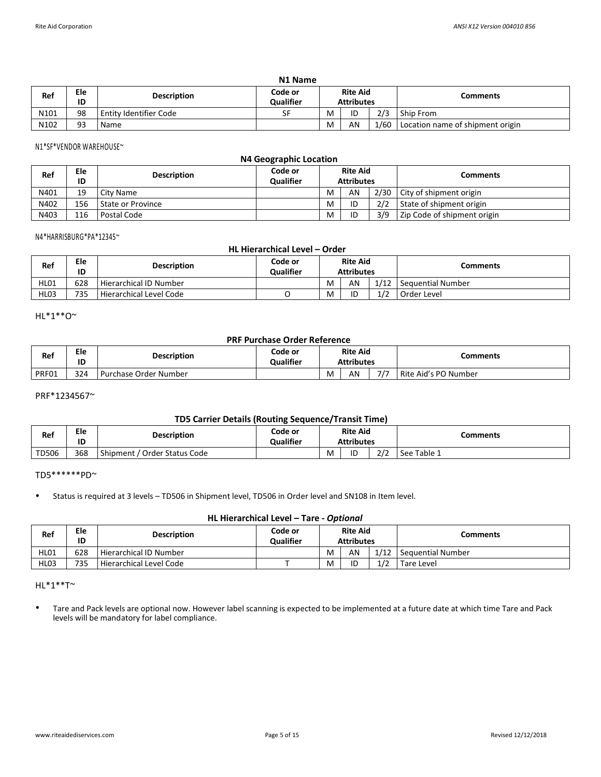| N1 Name |           |                                                                                           |    |   |    |      |                                  |  |  |  |
|---------|-----------|-------------------------------------------------------------------------------------------|----|---|----|------|----------------------------------|--|--|--|
| Ref     | Ele<br>ID | <b>Rite Aid</b><br>Code or<br><b>Description</b><br><b>Qualifier</b><br><b>Attributes</b> |    |   |    |      | Comments                         |  |  |  |
| N101    | 98        | <b>Entity Identifier Code</b>                                                             | SF | M | ID | 2/3  | Ship From                        |  |  |  |
| N102    | 93        | Name                                                                                      |    | M | AN | 1/60 | Location name of shipment origin |  |  |  |

N1\*SF\*VENDOR WAREHOUSE~

|      | N4 Geographic Location |                    |                             |   |                                      |      |                             |  |  |  |  |
|------|------------------------|--------------------|-----------------------------|---|--------------------------------------|------|-----------------------------|--|--|--|--|
| Ref  | Ele<br>ID              | <b>Description</b> | Code or<br><b>Qualifier</b> |   | <b>Rite Aid</b><br><b>Attributes</b> |      | <b>Comments</b>             |  |  |  |  |
| N401 | 19                     | City Name          |                             | M | AN                                   | 2/30 | City of shipment origin     |  |  |  |  |
| N402 | 156                    | State or Province  |                             | M | ID                                   | 2/2  | State of shipment origin    |  |  |  |  |
| N403 | 116                    | Postal Code        |                             | M | ID                                   | 3/9  | Zip Code of shipment origin |  |  |  |  |

#### N4\*HARRISBURG\*PA\*12345~

| HL Hierarchical Level - Order |                                                                                                        |                         |  |   |    |      |                   |  |  |
|-------------------------------|--------------------------------------------------------------------------------------------------------|-------------------------|--|---|----|------|-------------------|--|--|
| Ref                           | <b>Rite Aid</b><br>Code or<br>Ele<br><b>Description</b><br><b>Qualifier</b><br>ID<br><b>Attributes</b> |                         |  |   |    |      | Comments          |  |  |
| HL01                          | 628                                                                                                    | Hierarchical ID Number  |  | M | AN | 1/12 | Sequential Number |  |  |
| HL <sub>03</sub>              | 735                                                                                                    | Hierarchical Level Code |  | M | ID | 1/2  | Order Level       |  |  |

HL\*1\*\*O~

## **PRF Purchase Order Reference**

| Ref   | Ele<br>ID | <b>Description</b>      | Code or<br>Qualifier | <b>Rite Aid</b><br><b>Attributes</b> |    |     | Comments             |
|-------|-----------|-------------------------|----------------------|--------------------------------------|----|-----|----------------------|
| PRF01 | 324       | l Purchase Order Number |                      | M                                    | AN | 7/7 | Rite Aid's PO Number |

PRF\*1234567~

# **TD5 Carrier Details (Routing Sequence/Transit Time)**

| Ref   | Ele<br>ID | <b>Description</b>                 | Code or<br><b>Qualifier</b> | <b>Rite Aid</b><br><b>Attributes</b> |    |             | Comments    |
|-------|-----------|------------------------------------|-----------------------------|--------------------------------------|----|-------------|-------------|
| TD506 | 368       | Shipment,<br>: / Order Status Code |                             | M                                    | ID | 7/7<br>ے رے | See Table 1 |

TD5\*\*\*\*\*\*PD~

• Status is required at 3 levels – TD506 in Shipment level, TD506 in Order level and SN108 in Item level.

# **HL Hierarchical Level – Tare -** *Optional*

| Ref         | Ele<br>ID | <b>Description</b>      | Code or<br><b>Qualifier</b> |   | <b>Rite Aid</b><br><b>Attributes</b> |      | Comments          |
|-------------|-----------|-------------------------|-----------------------------|---|--------------------------------------|------|-------------------|
| <b>HL01</b> | 628       | Hierarchical ID Number  |                             | M | AN                                   | 1/12 | Sequential Number |
| <b>HL03</b> | 735       | Hierarchical Level Code |                             | M | ID                                   | 1/2  | Tare Level        |

HL\*1\*\*T~

• Tare and Pack levels are optional now. However label scanning is expected to be implemented at a future date at which time Tare and Pack levels will be mandatory for label compliance.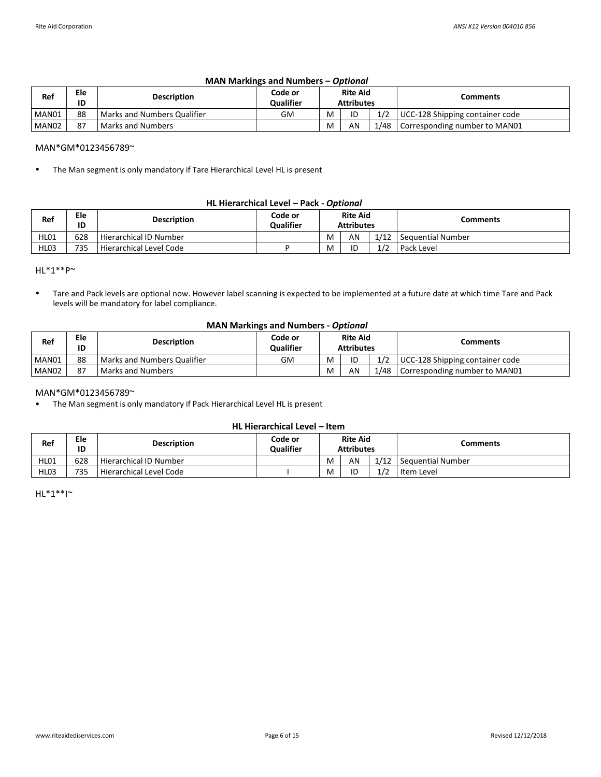| <b>MAN Markings and Numbers - Optional</b> |  |
|--------------------------------------------|--|
|--------------------------------------------|--|

| Ref               | Ele<br>ID | <b>Description</b>          | Code or<br><b>Oualifier</b> |   | <b>Rite Aid</b><br><b>Attributes</b> |      | Comments                        |
|-------------------|-----------|-----------------------------|-----------------------------|---|--------------------------------------|------|---------------------------------|
| MAN01             | 88        | Marks and Numbers Qualifier | <b>GM</b>                   | М | ID                                   | 1/2  | UCC-128 Shipping container code |
| MAN <sub>02</sub> | 87        | Marks and Numbers           |                             | M | AN                                   | 1/48 | Corresponding number to MAN01   |

#### MAN\*GM\*0123456789~

• The Man segment is only mandatory if Tare Hierarchical Level HL is present

#### **HL Hierarchical Level – Pack -** *Optional*

| Ref              | Ele<br>ID | <b>Description</b>      | Code or<br><b>Qualifier</b> |   | <b>Rite Aid</b><br><b>Attributes</b> |      | Comments            |
|------------------|-----------|-------------------------|-----------------------------|---|--------------------------------------|------|---------------------|
| HL01             | 628       | Hierarchical ID Number  |                             | M | AN                                   | 1/12 | l Seauential Number |
| HL <sub>03</sub> | 735       | Hierarchical Level Code |                             | M | ID                                   | 1/2  | Pack Level          |

HL\*1\*\*P~

• Tare and Pack levels are optional now. However label scanning is expected to be implemented at a future date at which time Tare and Pack levels will be mandatory for label compliance.

# **MAN Markings and Numbers -** *Optional*

| Ref               | Ele<br>ID | <b>Description</b>            | Code or<br><b>Qualifier</b> |   | <b>Rite Aid</b><br><b>Attributes</b> |      | Comments                        |
|-------------------|-----------|-------------------------------|-----------------------------|---|--------------------------------------|------|---------------------------------|
| MAN01             | 88        | l Marks and Numbers Qualifier | GM.                         | M | ID                                   | 1/2  | UCC-128 Shipping container code |
| MAN <sub>02</sub> | 87        | <b>Marks and Numbers</b>      |                             | м | AN                                   | 1/48 | Corresponding number to MAN01   |

#### MAN\*GM\*0123456789~

• The Man segment is only mandatory if Pack Hierarchical Level HL is present

# **HL Hierarchical Level – Item**

| Ref         | Ele<br>ID | <b>Description</b>      | Code or<br><b>Qualifier</b> | <b>Rite Aid</b><br><b>Attributes</b> |    |            | Comments          |
|-------------|-----------|-------------------------|-----------------------------|--------------------------------------|----|------------|-------------------|
| HL01        | 628       | Hierarchical ID Number  |                             | M                                    | AN | 1/12       | Sequential Number |
| <b>HL03</b> | 735       | Hierarchical Level Code |                             | M                                    | ID | $\sqrt{2}$ | Item Level        |

 $HL^*1^{**}I^{\sim}$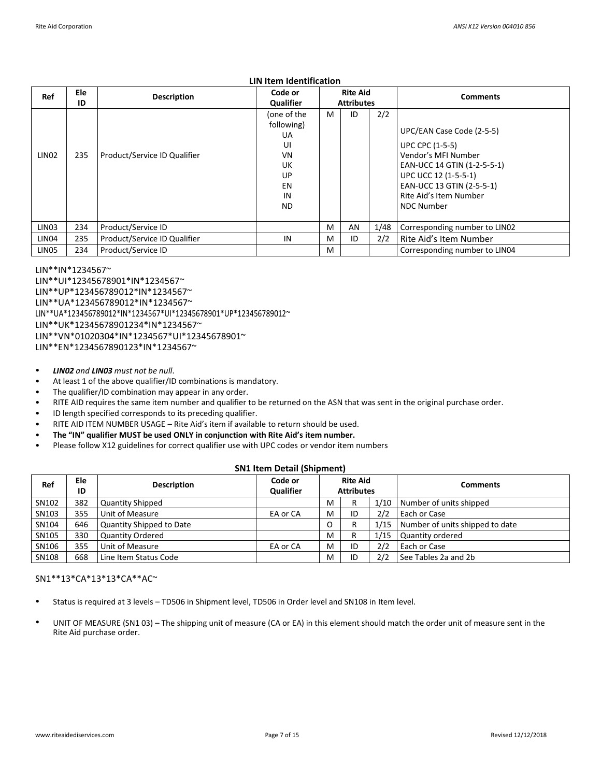## **LIN Item Identification**

| Ref               | Ele<br>ID | <b>Description</b>           | Code or<br>Qualifier                                                       |   | <b>Rite Aid</b><br><b>Attributes</b> |      | <b>Comments</b>                                                                                                                                                                                               |
|-------------------|-----------|------------------------------|----------------------------------------------------------------------------|---|--------------------------------------|------|---------------------------------------------------------------------------------------------------------------------------------------------------------------------------------------------------------------|
| LIN <sub>02</sub> | 235       | Product/Service ID Qualifier | (one of the<br>following)<br>UA<br>UI<br>VN<br>UK<br>UP<br>EN<br>IN<br>ND. | M | ID                                   | 2/2  | UPC/EAN Case Code (2-5-5)<br><b>UPC CPC (1-5-5)</b><br>Vendor's MFI Number<br>EAN-UCC 14 GTIN (1-2-5-5-1)<br>UPC UCC 12 (1-5-5-1)<br>EAN-UCC 13 GTIN (2-5-5-1)<br>Rite Aid's Item Number<br><b>NDC Number</b> |
| LIN <sub>03</sub> | 234       | Product/Service ID           |                                                                            | M | AN                                   | 1/48 | Corresponding number to LIN02                                                                                                                                                                                 |
| LIN <sub>04</sub> | 235       | Product/Service ID Qualifier | IN                                                                         | M | ID                                   | 2/2  | Rite Aid's Item Number                                                                                                                                                                                        |
| LIN <sub>05</sub> | 234       | Product/Service ID           |                                                                            | M |                                      |      | Corresponding number to LIN04                                                                                                                                                                                 |

LIN\*\*IN\*1234567~ LIN\*\*UI\*12345678901\*IN\*1234567~ LIN\*\*UP\*123456789012\*IN\*1234567~ LIN\*\*UA\*123456789012\*IN\*1234567~ LIN\*\*UA\*123456789012\*IN\*1234567\*UI\*12345678901\*UP\*123456789012~ LIN\*\*UK\*12345678901234\*IN\*1234567~ LIN\*\*VN\*01020304\*IN\*1234567\*UI\*12345678901~ LIN\*\*EN\*1234567890123\*IN\*1234567~

- *LIN02 and LIN03 must not be null*.
- At least 1 of the above qualifier/ID combinations is mandatory.
- The qualifier/ID combination may appear in any order.
- RITE AID requires the same item number and qualifier to be returned on the ASN that was sent in the original purchase order.
- ID length specified corresponds to its preceding qualifier.
- RITE AID ITEM NUMBER USAGE – Rite Aid's item if available to return should be used.
- **The "IN" qualifier MUST be used ONLY in conjunction with Rite Aid's item number.**
- Please follow X12 guidelines for correct qualifier use with UPC codes or vendor item numbers

#### **SN1 Item Detail (Shipment)**

| Ref   | Ele<br>ID | <b>Description</b>       | Code or<br><b>Qualifier</b> | <b>Rite Aid</b><br><b>Attributes</b> |    |      | <b>Comments</b>                 |
|-------|-----------|--------------------------|-----------------------------|--------------------------------------|----|------|---------------------------------|
| SN102 | 382       | <b>Quantity Shipped</b>  |                             | м                                    | D  |      | 1/10 Number of units shipped    |
| SN103 | 355       | Unit of Measure          | EA or CA                    | M                                    | ID | 2/2  | Each or Case                    |
| SN104 | 646       | Quantity Shipped to Date |                             | O                                    | D  | 1/15 | Number of units shipped to date |
| SN105 | 330       | <b>Quantity Ordered</b>  |                             | M                                    |    | 1/15 | Quantity ordered                |
| SN106 | 355       | Unit of Measure          | EA or CA                    | M                                    | ID | 2/2  | Each or Case                    |
| SN108 | 668       | Line Item Status Code    |                             | M                                    | ID | 2/2  | See Tables 2a and 2b            |

## SN1\*\*13\*CA\*13\*13\*CA\*\*AC~

- Status is required at 3 levels – TD506 in Shipment level, TD506 in Order level and SN108 in Item level.
- UNIT OF MEASURE (SN1 03) – The shipping unit of measure (CA or EA) in this element should match the order unit of measure sent in the Rite Aid purchase order.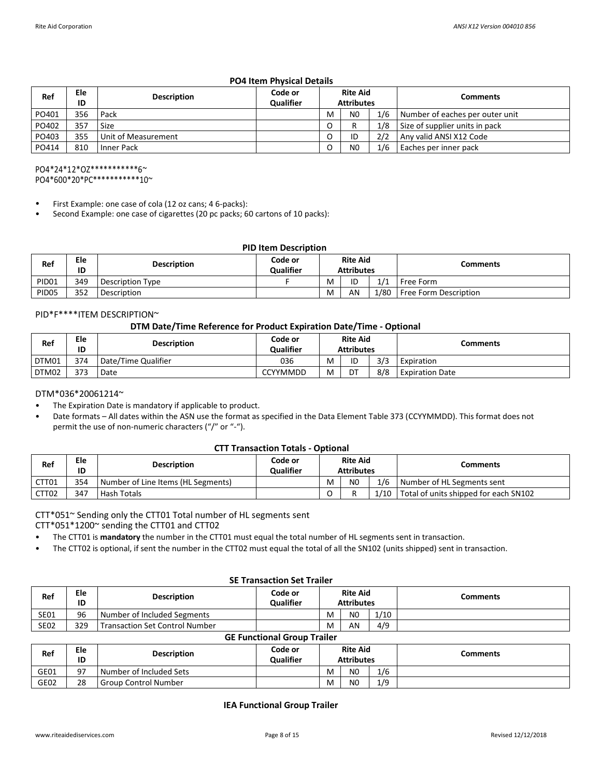# **PO4 Item Physical Details**

| Ref   | Ele<br>ID | <b>Description</b>  | Code or<br><b>Qualifier</b> | <b>Rite Aid</b><br><b>Attributes</b> |                |     | <b>Comments</b>                 |
|-------|-----------|---------------------|-----------------------------|--------------------------------------|----------------|-----|---------------------------------|
| PO401 | 356       | Pack                |                             | M                                    | N <sub>0</sub> | 1/6 | Number of eaches per outer unit |
| PO402 | 357       | Size                |                             | O                                    |                | 1/8 | Size of supplier units in pack  |
| PO403 | 355       | Unit of Measurement |                             | O                                    | ID             | 2/2 | Any valid ANSI X12 Code         |
| PO414 | 810       | Inner Pack          |                             |                                      | N <sub>0</sub> | 1/6 | Eaches per inner pack           |

PO4\*24\*12\*OZ\*\*\*\*\*\*\*\*\*\*\*6~ PO4\*600\*20\*PC\*\*\*\*\*\*\*\*\*\*\*10~

- First Example: one case of cola (12 oz cans; 4 6-packs):
- Second Example: one case of cigarettes (20 pc packs; 60 cartons of 10 packs):

## **PID Item Description**

| Ref               | Ele<br>ID | <b>Description</b>      | Code or<br><b>Qualifier</b> | <b>Rite Aid</b><br><b>Attributes</b> |    |      | Comments              |
|-------------------|-----------|-------------------------|-----------------------------|--------------------------------------|----|------|-----------------------|
| PID <sub>01</sub> | 349       | <b>Description Type</b> |                             | M                                    | ID | 1/1  | Free Form             |
| PID <sub>05</sub> | 352       | Description             |                             | M                                    | AN | 1/80 | Free Form Description |

#### PID\*F\*\*\*\*ITEM DESCRIPTION~

# **DTM Date/Time Reference for Product Expiration Date/Time - Optional**

| Ref   | Ele<br>ID | <b>Description</b>  | Code or<br><b>Qualifier</b> |   | <b>Rite Aid</b><br><b>Attributes</b> |     | Comments               |
|-------|-----------|---------------------|-----------------------------|---|--------------------------------------|-----|------------------------|
| DTM01 | 374       | Date/Time Qualifier | 036                         | M | ID                                   | 3/3 | Expiration             |
| DTM02 | 373       | Date                | <b>CCYYMMDD</b>             | M | DT                                   | 8/8 | <b>Expiration Date</b> |

# DTM\*036\*20061214~

- The Expiration Date is mandatory if applicable to product.
- Date formats – All dates within the ASN use the format as specified in the Data Element Table 373 (CCYYMMDD). This format does not permit the use of non-numeric characters ("/" or "-").

#### **CTT Transaction Totals - Optional**

| Ref   | Ele<br>ID | <b>Description</b>                 | Code or<br><b>Qualifier</b> | <b>Rite Aid</b><br><b>Attributes</b> |                |      | Comments                              |
|-------|-----------|------------------------------------|-----------------------------|--------------------------------------|----------------|------|---------------------------------------|
| CTT01 | 354       | Number of Line Items (HL Segments) |                             | M                                    | N <sub>0</sub> | 1/6  | Number of HL Segments sent            |
| CTT02 | 347       | Hash Totals                        |                             |                                      |                | 1/10 | Total of units shipped for each SN102 |

# CTT\*051~ Sending only the CTT01 Total number of HL segments sent

CTT\*051\*1200~ sending the CTT01 and CTT02

- The CTT01 is **mandatory** the number in the CTT01 must equal the total number of HL segments sent in transaction.
- The CTT02 is optional, if sent the number in the CTT02 must equal the total of all the SN102 (units shipped) sent in transaction.

|             | <b>JL HANJACHUN JEL HANEL</b> |                                       |                             |                                      |                |      |          |
|-------------|-------------------------------|---------------------------------------|-----------------------------|--------------------------------------|----------------|------|----------|
| Ref         | Ele<br>ID                     | <b>Description</b>                    | Code or<br><b>Qualifier</b> | <b>Rite Aid</b><br><b>Attributes</b> |                |      | Comments |
| <b>SE01</b> | 96                            | Number of Included Segments           |                             | M                                    | N <sub>0</sub> | 1/10 |          |
| <b>SE02</b> | 329                           | <b>Transaction Set Control Number</b> |                             | M                                    | AN             | 4/9  |          |

## **GE Functional Group Trailer**

**SE Transaction Set Trailer**

| Ref  | Ele<br>ID | <b>Description</b>          | Code or<br><b>Qualifier</b> | <b>Rite Aid</b><br><b>Attributes</b> |                |     | Comments |
|------|-----------|-----------------------------|-----------------------------|--------------------------------------|----------------|-----|----------|
| GE01 | 97        | Number of Included Sets     |                             | M                                    | N <sub>0</sub> | 1/6 |          |
| GE02 | 28        | <b>Group Control Number</b> |                             | M                                    | N <sub>0</sub> | 1/9 |          |

**IEA Functional Group Trailer**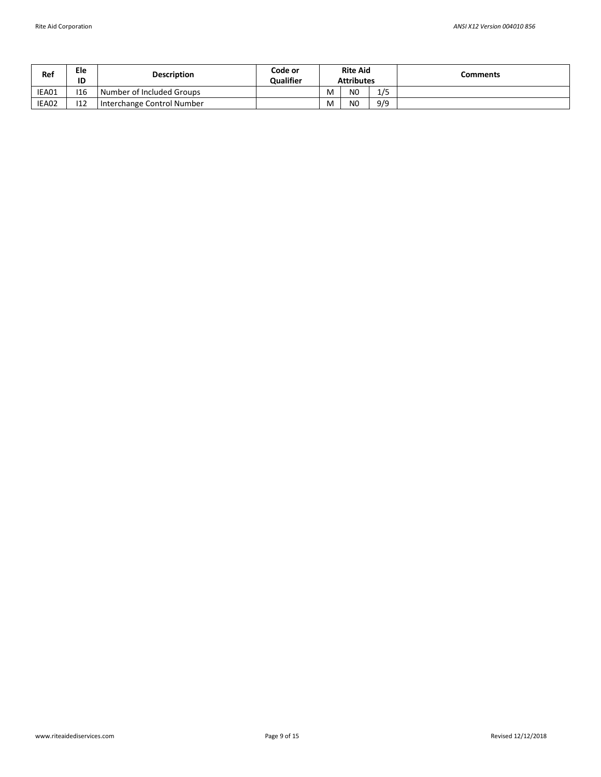| Ref   | Ele<br>ID | <b>Description</b>         | Code or<br><b>Qualifier</b> | <b>Rite Aid</b><br><b>Attributes</b> |                |     | Comments |
|-------|-----------|----------------------------|-----------------------------|--------------------------------------|----------------|-----|----------|
| IEA01 | 116       | Number of Included Groups  |                             | M                                    | N <sub>0</sub> | 1/5 |          |
| IEA02 | 112       | Interchange Control Number |                             | M                                    | N <sub>0</sub> | 9/9 |          |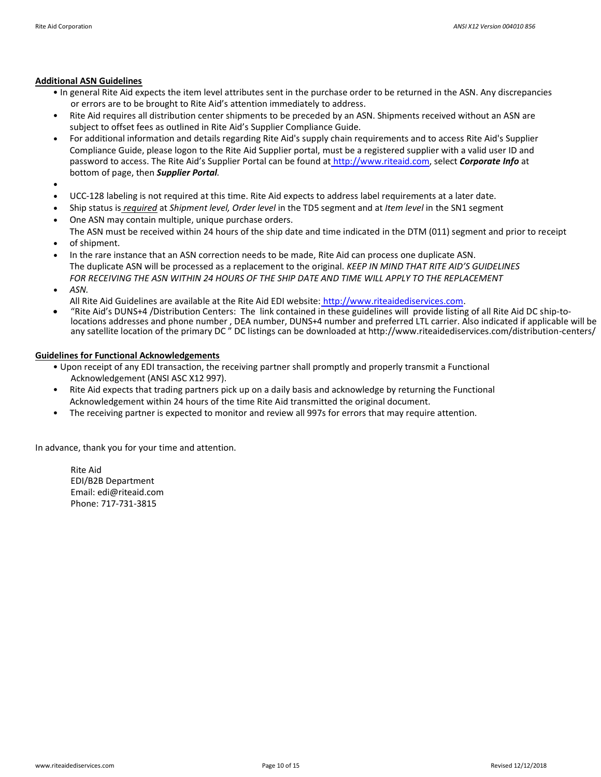## **Additional ASN Guidelines**

- In general Rite Aid expects the item level attributes sent in the purchase order to be returned in the ASN. Any discrepancies or errors are to be brought to Rite Aid's attention immediately to address.
- Rite Aid requires all distribution center shipments to be preceded by an ASN. Shipments received without an ASN are subject to offset fees as outlined in Rite Aid's Supplier Compliance Guide.
- For additional information and details regarding Rite Aid's supply chain requirements and to access Rite Aid's Supplier Compliance Guide, please logon to the Rite Aid Supplier portal, must be a registered supplier with a valid user ID and password to access. The Rite Aid's Supplier Portal can be found at http://www.riteaid.com, select *Corporate Info* at bottom of page, then *Supplier Portal.*
- •
- UCC-128 labeling is not required at this time. Rite Aid expects to address label requirements at a later date.
- Ship status is *required* at *Shipment level, Order level* in the TD5 segment and at *Item level* in the SN1 segment
- One ASN may contain multiple, unique purchase orders.
- The ASN must be received within 24 hours of the ship date and time indicated in the DTM (011) segment and prior to receipt of shipment.
- In the rare instance that an ASN correction needs to be made, Rite Aid can process one duplicate ASN. The duplicate ASN will be processed as a replacement to the original. *KEEP IN MIND THAT RITE AID'S GUIDELINES FOR RECEIVING THE ASN WITHIN 24 HOURS OF THE SHIP DATE AND TIME WILL APPLY TO THE REPLACEMENT*
- *ASN.*
- All Rite Aid Guidelines are available at the Rite Aid EDI website: [http://www.riteaidediservices.com.](http://www.riteaidediservices.com/)
- "Rite Aid's DUNS+4 /Distribution Centers: The link contained in these guidelines will provide listing of all Rite Aid DC ship-tolocations addresses and phone number , DEA number, DUNS+4 number and preferred LTL carrier. Also indicated if applicable will be any satellite location of the primary DC " DC listings can be downloaded at http://www.riteaidediservices.com/distribution-centers/

# **Guidelines for Functional Acknowledgements**

- Upon receipt of any EDI transaction, the receiving partner shall promptly and properly transmit a Functional Acknowledgement (ANSI ASC X12 997).
- Rite Aid expects that trading partners pick up on a daily basis and acknowledge by returning the Functional Acknowledgement within 24 hours of the time Rite Aid transmitted the original document.
- The receiving partner is expected to monitor and review all 997s for errors that may require attention.

In advance, thank you for your time and attention.

Rite Aid EDI/B2B Department Email: edi@riteaid.com Phone: 717-731-3815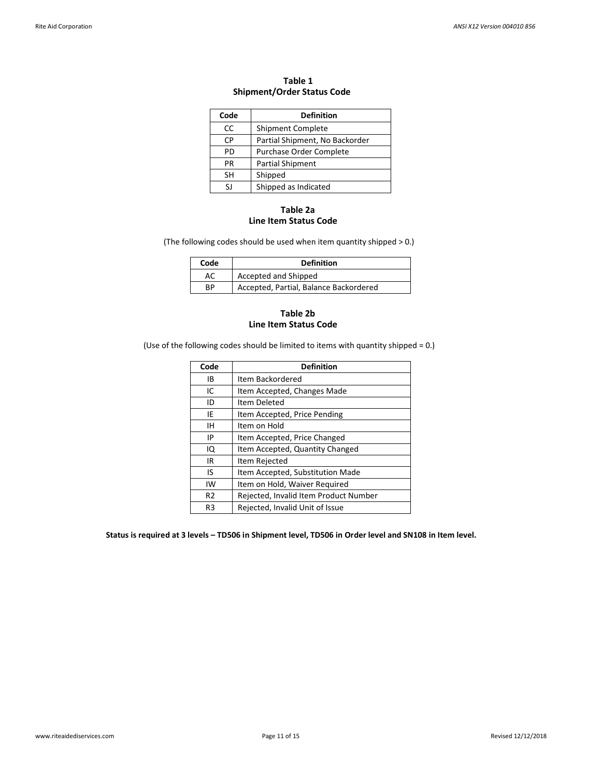| Code | <b>Definition</b>              |
|------|--------------------------------|
| CC   | <b>Shipment Complete</b>       |
| СP   | Partial Shipment, No Backorder |
| PD   | Purchase Order Complete        |
| РR   | <b>Partial Shipment</b>        |
| SΗ   | Shipped                        |
| ۲ı   | Shipped as Indicated           |

# **Table 1 Shipment/Order Status Code**

## **Table 2a Line Item Status Code**

(The following codes should be used when item quantity shipped > 0.)

| Code | <b>Definition</b>                      |
|------|----------------------------------------|
| AC   | Accepted and Shipped                   |
| RP   | Accepted, Partial, Balance Backordered |

## **Table 2b Line Item Status Code**

(Use of the following codes should be limited to items with quantity shipped = 0.)

| Code           | <b>Definition</b>                     |
|----------------|---------------------------------------|
| IB             | Item Backordered                      |
| IC             | Item Accepted, Changes Made           |
| ID             | Item Deleted                          |
| IE             | Item Accepted, Price Pending          |
| ΙH             | Item on Hold                          |
| ΙP             | Item Accepted, Price Changed          |
| IQ             | Item Accepted, Quantity Changed       |
| IR.            | Item Rejected                         |
| IS             | Item Accepted, Substitution Made      |
| IW             | Item on Hold, Waiver Required         |
| R <sub>2</sub> | Rejected, Invalid Item Product Number |
| R3             | Rejected, Invalid Unit of Issue       |

**Status is required at 3 levels – TD506 in Shipment level, TD506 in Order level and SN108 in Item level.**